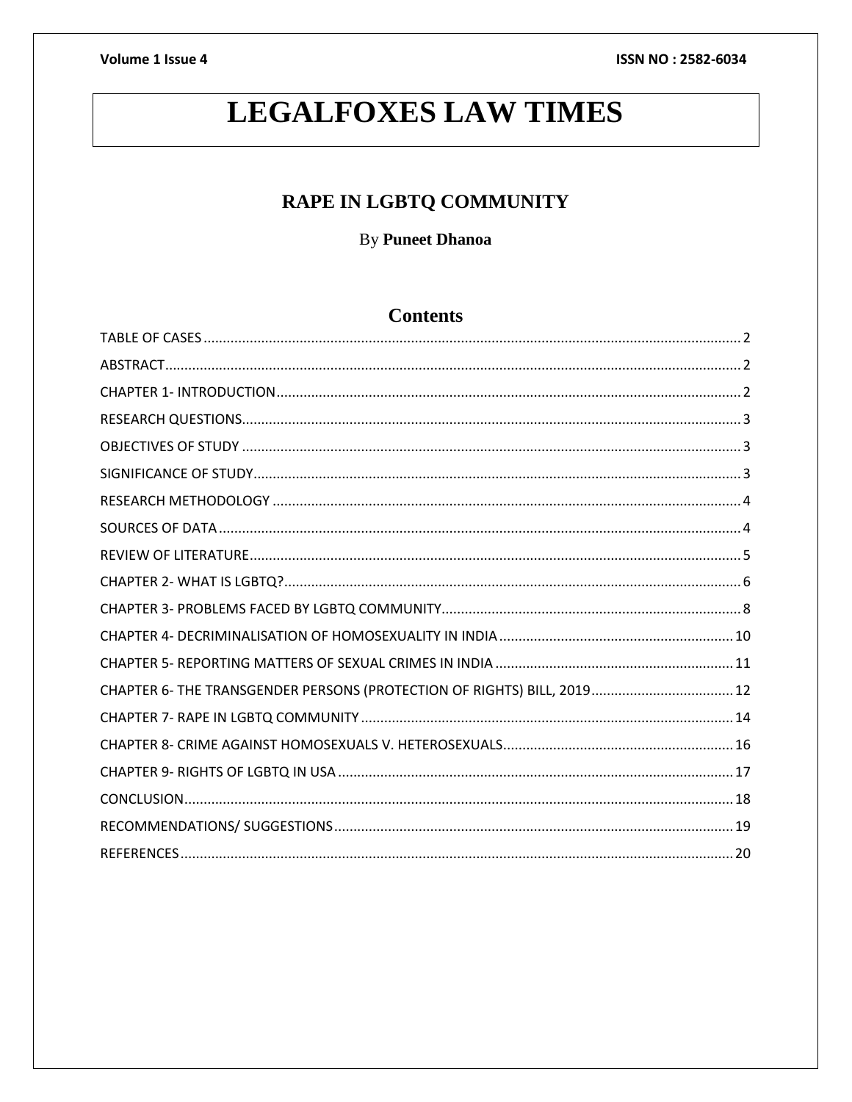# **LEGALFOXES LAW TIMES**

# RAPE IN LGBTQ COMMUNITY

By Puneet Dhanoa

# **Contents**

| CHAPTER 6- THE TRANSGENDER PERSONS (PROTECTION OF RIGHTS) BILL, 2019 12 |  |
|-------------------------------------------------------------------------|--|
|                                                                         |  |
|                                                                         |  |
|                                                                         |  |
|                                                                         |  |
|                                                                         |  |
|                                                                         |  |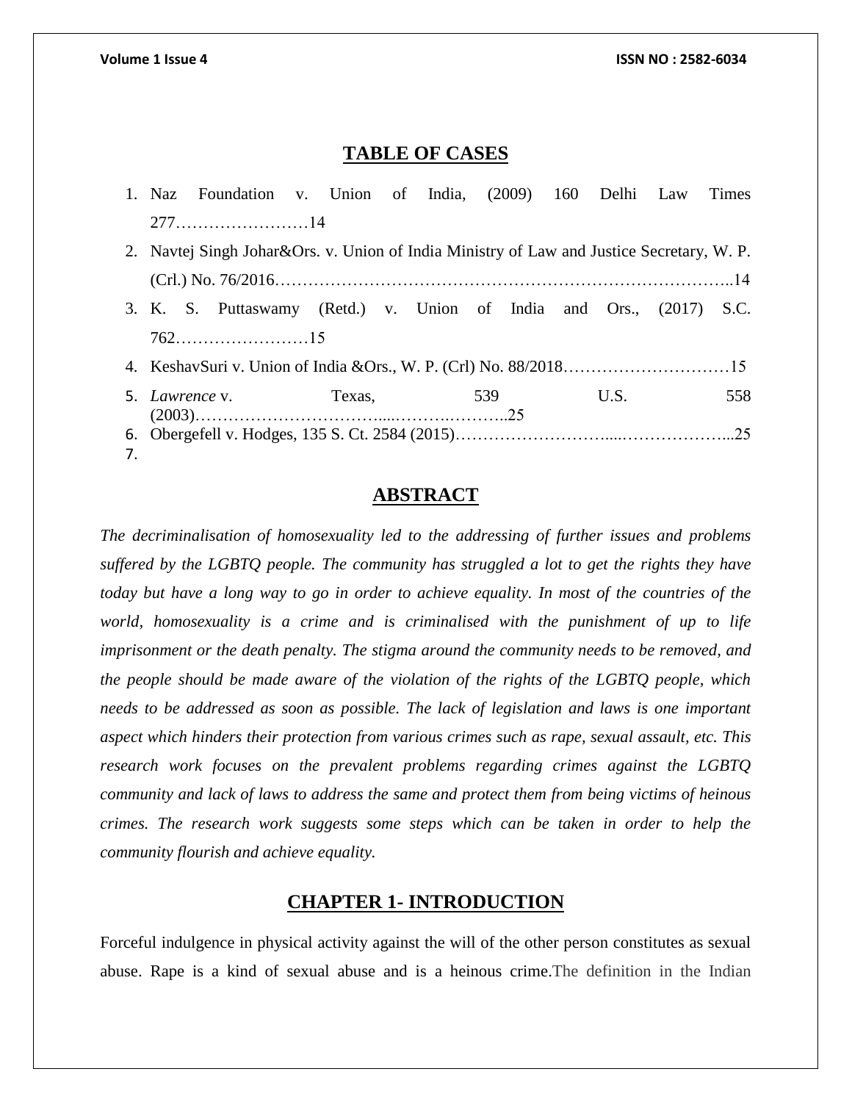### **TABLE OF CASES**

<span id="page-1-0"></span>

|    |                                                                                           | 1. Naz Foundation v. Union of India, (2009) 160 Delhi Law Times     |  |  |  |  |  |  |      |  |     |  |
|----|-------------------------------------------------------------------------------------------|---------------------------------------------------------------------|--|--|--|--|--|--|------|--|-----|--|
|    |                                                                                           |                                                                     |  |  |  |  |  |  |      |  |     |  |
|    | 2. Navtej Singh Johar&Ors. v. Union of India Ministry of Law and Justice Secretary, W. P. |                                                                     |  |  |  |  |  |  |      |  |     |  |
|    |                                                                                           |                                                                     |  |  |  |  |  |  |      |  |     |  |
|    |                                                                                           | 3. K. S. Puttaswamy (Retd.) v. Union of India and Ors., (2017) S.C. |  |  |  |  |  |  |      |  |     |  |
|    |                                                                                           |                                                                     |  |  |  |  |  |  |      |  |     |  |
|    |                                                                                           |                                                                     |  |  |  |  |  |  |      |  |     |  |
|    | 5. Lawrence v. Texas, 539                                                                 |                                                                     |  |  |  |  |  |  | U.S. |  | 558 |  |
|    |                                                                                           |                                                                     |  |  |  |  |  |  |      |  |     |  |
| 7. |                                                                                           |                                                                     |  |  |  |  |  |  |      |  |     |  |

### **ABSTRACT**

<span id="page-1-1"></span>*The decriminalisation of homosexuality led to the addressing of further issues and problems suffered by the LGBTQ people. The community has struggled a lot to get the rights they have today but have a long way to go in order to achieve equality. In most of the countries of the world, homosexuality is a crime and is criminalised with the punishment of up to life imprisonment or the death penalty. The stigma around the community needs to be removed, and the people should be made aware of the violation of the rights of the LGBTQ people, which needs to be addressed as soon as possible. The lack of legislation and laws is one important aspect which hinders their protection from various crimes such as rape, sexual assault, etc. This research work focuses on the prevalent problems regarding crimes against the LGBTQ community and lack of laws to address the same and protect them from being victims of heinous crimes. The research work suggests some steps which can be taken in order to help the community flourish and achieve equality.*

### **CHAPTER 1- INTRODUCTION**

<span id="page-1-2"></span>Forceful indulgence in physical activity against the will of the other person constitutes as sexual abuse. Rape is a kind of sexual abuse and is a heinous crime.The definition in the Indian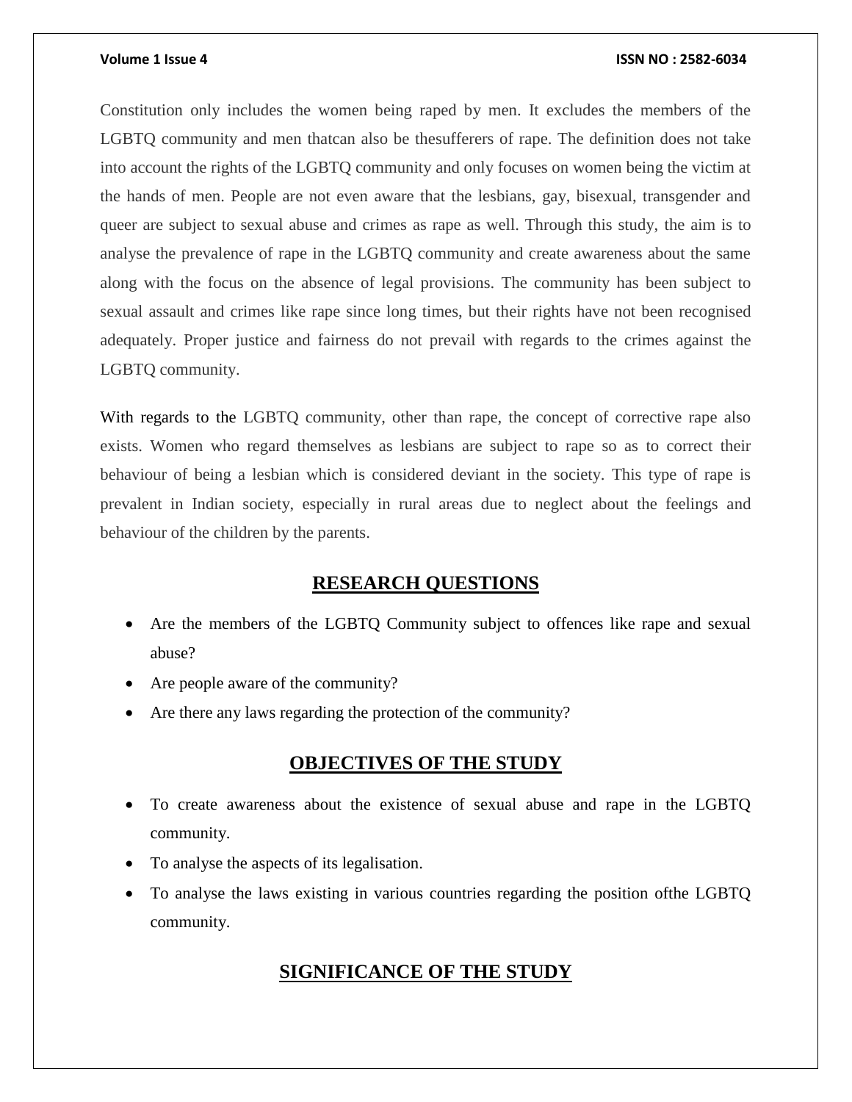Constitution only includes the women being raped by men. It excludes the members of the LGBTQ community and men thatcan also be thesufferers of rape. The definition does not take into account the rights of the LGBTQ community and only focuses on women being the victim at the hands of men. People are not even aware that the lesbians, gay, bisexual, transgender and queer are subject to sexual abuse and crimes as rape as well. Through this study, the aim is to analyse the prevalence of rape in the LGBTQ community and create awareness about the same along with the focus on the absence of legal provisions. The community has been subject to sexual assault and crimes like rape since long times, but their rights have not been recognised adequately. Proper justice and fairness do not prevail with regards to the crimes against the LGBTQ community.

With regards to the LGBTQ community, other than rape, the concept of corrective rape also exists. Women who regard themselves as lesbians are subject to rape so as to correct their behaviour of being a lesbian which is considered deviant in the society. This type of rape is prevalent in Indian society, especially in rural areas due to neglect about the feelings and behaviour of the children by the parents.

# **RESEARCH QUESTIONS**

- <span id="page-2-0"></span> Are the members of the LGBTQ Community subject to offences like rape and sexual abuse?
- Are people aware of the community?
- Are there any laws regarding the protection of the community?

# **OBJECTIVES OF THE STUDY**

- <span id="page-2-1"></span> To create awareness about the existence of sexual abuse and rape in the LGBTQ community.
- To analyse the aspects of its legalisation.
- <span id="page-2-2"></span> To analyse the laws existing in various countries regarding the position ofthe LGBTQ community.

# **SIGNIFICANCE OF THE STUDY**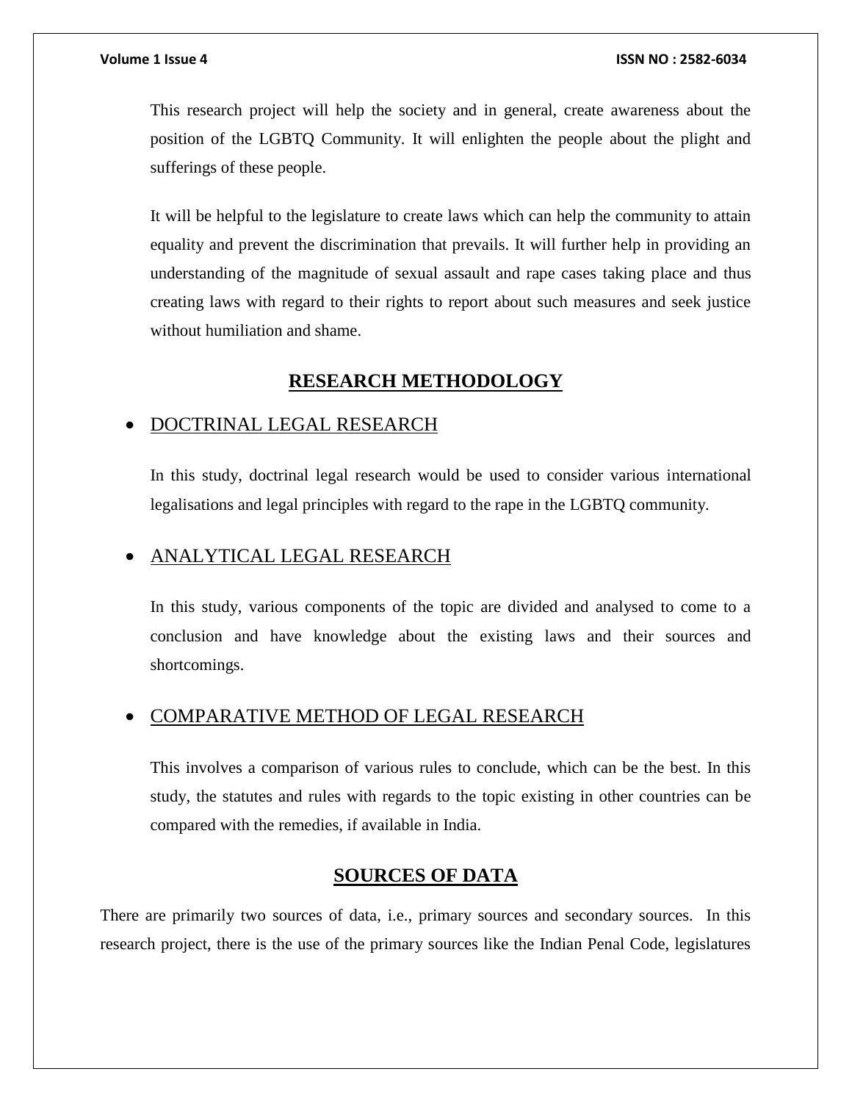This research project will help the society and in general, create awareness about the position of the LGBTQ Community. It will enlighten the people about the plight and sufferings of these people.

It will be helpful to the legislature to create laws which can help the community to attain equality and prevent the discrimination that prevails. It will further help in providing an understanding of the magnitude of sexual assault and rape cases taking place and thus creating laws with regard to their rights to report about such measures and seek justice without humiliation and shame.

# **RESEARCH METHODOLOGY**

## <span id="page-3-0"></span>DOCTRINAL LEGAL RESEARCH

In this study, doctrinal legal research would be used to consider various international legalisations and legal principles with regard to the rape in the LGBTQ community.

## ANALYTICAL LEGAL RESEARCH

In this study, various components of the topic are divided and analysed to come to a conclusion and have knowledge about the existing laws and their sources and shortcomings.

### COMPARATIVE METHOD OF LEGAL RESEARCH

This involves a comparison of various rules to conclude, which can be the best. In this study, the statutes and rules with regards to the topic existing in other countries can be compared with the remedies, if available in India.

## **SOURCES OF DATA**

<span id="page-3-1"></span>There are primarily two sources of data, i.e., primary sources and secondary sources. In this research project, there is the use of the primary sources like the Indian Penal Code, legislatures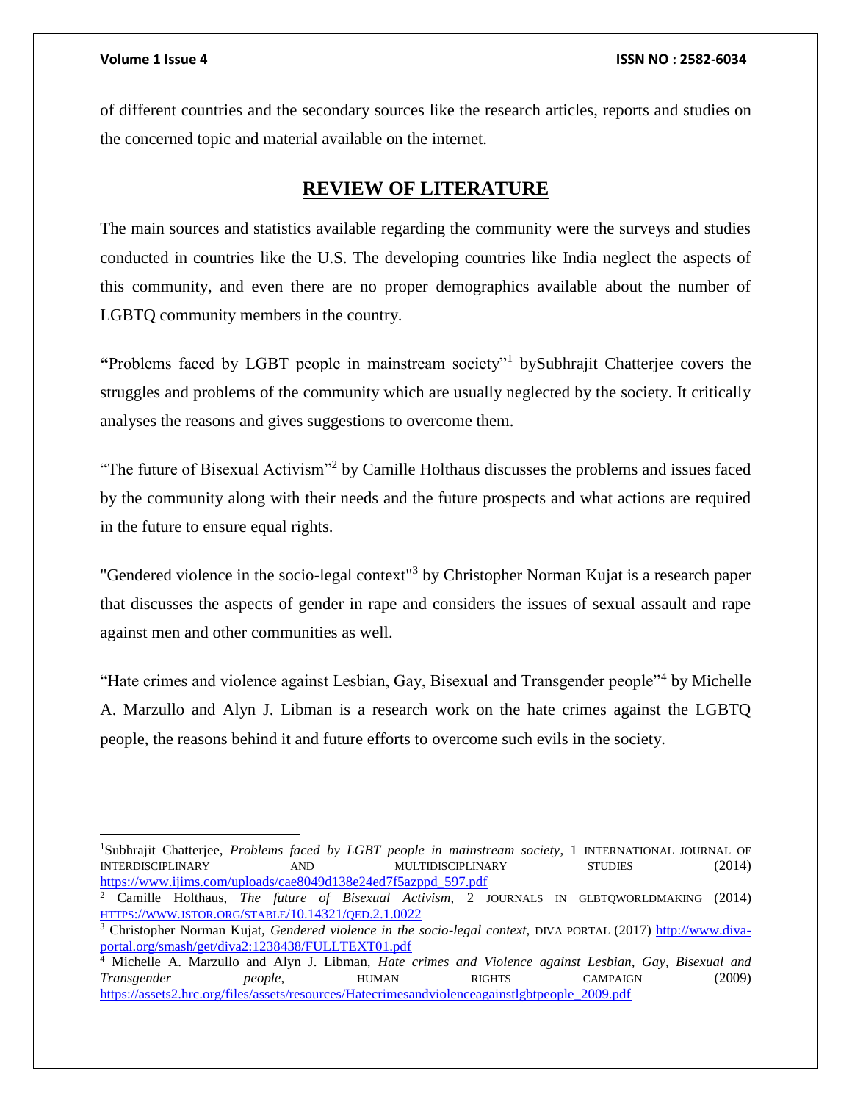$\overline{a}$ 

of different countries and the secondary sources like the research articles, reports and studies on the concerned topic and material available on the internet.

# **REVIEW OF LITERATURE**

<span id="page-4-0"></span>The main sources and statistics available regarding the community were the surveys and studies conducted in countries like the U.S. The developing countries like India neglect the aspects of this community, and even there are no proper demographics available about the number of LGBTQ community members in the country.

**"**Problems faced by LGBT people in mainstream society"<sup>1</sup> bySubhrajit Chatterjee covers the struggles and problems of the community which are usually neglected by the society. It critically analyses the reasons and gives suggestions to overcome them.

"The future of Bisexual Activism"<sup>2</sup> by Camille Holthaus discusses the problems and issues faced by the community along with their needs and the future prospects and what actions are required in the future to ensure equal rights.

"Gendered violence in the socio-legal context"<sup>3</sup> by Christopher Norman Kujat is a research paper that discusses the aspects of gender in rape and considers the issues of sexual assault and rape against men and other communities as well.

"Hate crimes and violence against Lesbian, Gay, Bisexual and Transgender people"<sup>4</sup> by Michelle A. Marzullo and Alyn J. Libman is a research work on the hate crimes against the LGBTQ people, the reasons behind it and future efforts to overcome such evils in the society.

<sup>&</sup>lt;sup>1</sup>Subhrajit Chatterjee, *Problems faced by LGBT people in mainstream society*, 1 INTERNATIONAL JOURNAL OF INTERDISCIPLINARY AND MULTIDISCIPLINARY STUDIES (2014) [https://www.ijims.com/uploads/cae8049d138e24ed7f5azppd\\_597.pdf](https://www.ijims.com/uploads/cae8049d138e24ed7f5azppd_597.pdf)

<sup>2</sup> Camille Holthaus, *The future of Bisexual Activism,* 2 JOURNALS IN GLBTQWORLDMAKING (2014) HTTPS://WWW.JSTOR.ORG/STABLE[/10.14321/](https://www.jstor.org/stable/10.14321/qed.2.1.0022)QED.2.1.0022

<sup>&</sup>lt;sup>3</sup> Christopher Norman Kujat, *Gendered violence in the socio-legal context*, DIVA PORTAL (2017) [http://www.diva](http://www.diva-portal.org/smash/get/diva2:1238438/FULLTEXT01.pdf)[portal.org/smash/get/diva2:1238438/FULLTEXT01.pdf](http://www.diva-portal.org/smash/get/diva2:1238438/FULLTEXT01.pdf)

<sup>4</sup> Michelle A. Marzullo and Alyn J. Libman, *Hate crimes and Violence against Lesbian, Gay, Bisexual and Transgender people,* HUMAN RIGHTS CAMPAIGN (2009) [https://assets2.hrc.org/files/assets/resources/Hatecrimesandviolenceagainstlgbtpeople\\_2009.pdf](https://assets2.hrc.org/files/assets/resources/Hatecrimesandviolenceagainstlgbtpeople_2009.pdf)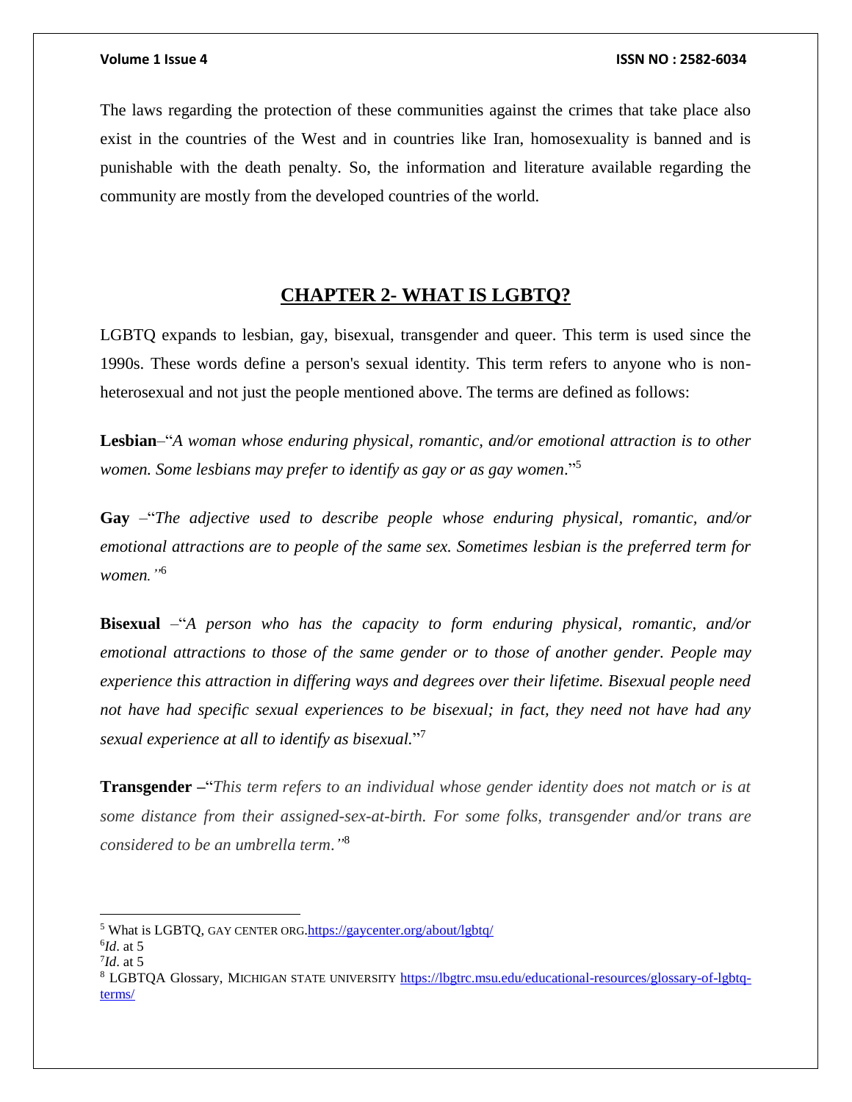The laws regarding the protection of these communities against the crimes that take place also exist in the countries of the West and in countries like Iran, homosexuality is banned and is punishable with the death penalty. So, the information and literature available regarding the community are mostly from the developed countries of the world.

## **CHAPTER 2- WHAT IS LGBTQ?**

<span id="page-5-0"></span>LGBTQ expands to lesbian, gay, bisexual, transgender and queer. This term is used since the 1990s. These words define a person's sexual identity. This term refers to anyone who is nonheterosexual and not just the people mentioned above. The terms are defined as follows:

**Lesbian**–"*A woman whose enduring physical, romantic, and/or emotional attraction is to other women. Some lesbians may prefer to identify as gay or as gay women*." 5

**Gay** –"*The adjective used to describe people whose enduring physical, romantic, and/or emotional attractions are to people of the same sex. Sometimes lesbian is the preferred term for women."*<sup>6</sup>

**Bisexual** –"*A person who has the capacity to form enduring physical, romantic, and/or emotional attractions to those of the same gender or to those of another gender. People may experience this attraction in differing ways and degrees over their lifetime. Bisexual people need not have had specific sexual experiences to be bisexual; in fact, they need not have had any sexual experience at all to identify as bisexual.*" 7

**Transgender –**"*This term refers to an individual whose gender identity does not match or is at some distance from their assigned-sex-at-birth. For some folks, transgender and/or trans are considered to be an umbrella term*.*"* 8

l

<sup>5</sup> What is LGBTQ, GAY CENTER ORG[.https://gaycenter.org/about/lgbtq/](https://gaycenter.org/about/lgbtq/)

<sup>6</sup> *Id*. at 5

<sup>7</sup> *Id*. at 5

<sup>8</sup> LGBTQA Glossary, MICHIGAN STATE UNIVERSITY [https://lbgtrc.msu.edu/educational-resources/glossary-of-lgbtq](https://lbgtrc.msu.edu/educational-resources/glossary-of-lgbtq-terms/)[terms/](https://lbgtrc.msu.edu/educational-resources/glossary-of-lgbtq-terms/)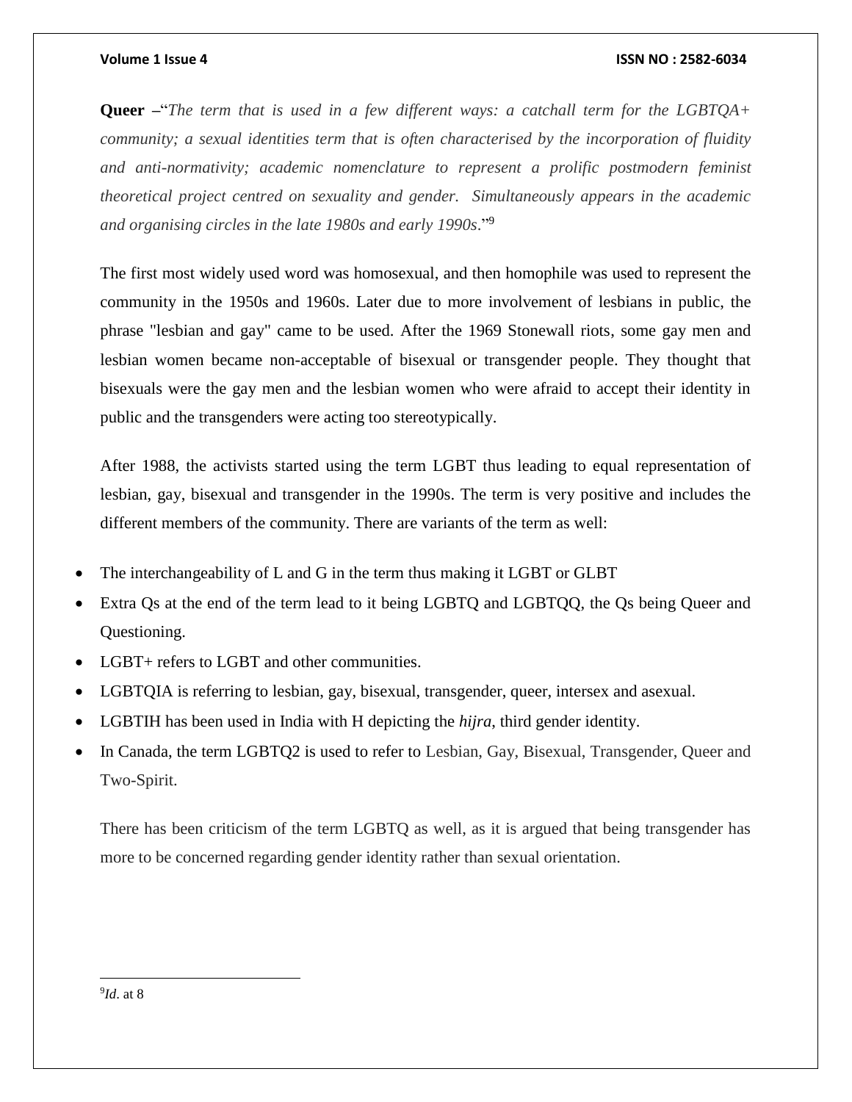**Queer –**"*The term that is used in a few different ways: a catchall term for the LGBTQA+ community; a sexual identities term that is often characterised by the incorporation of fluidity and anti-normativity; academic nomenclature to represent a prolific postmodern feminist theoretical project centred on sexuality and gender. Simultaneously appears in the academic and organising circles in the late 1980s and early 1990s*." 9

The first most widely used word was homosexual, and then homophile was used to represent the community in the 1950s and 1960s. Later due to more involvement of lesbians in public, the phrase "lesbian and gay" came to be used. After the 1969 Stonewall riots, some gay men and lesbian women became non-acceptable of bisexual or transgender people. They thought that bisexuals were the gay men and the lesbian women who were afraid to accept their identity in public and the transgenders were acting too stereotypically.

After 1988, the activists started using the term LGBT thus leading to equal representation of lesbian, gay, bisexual and transgender in the 1990s. The term is very positive and includes the different members of the community. There are variants of the term as well:

- The interchangeability of L and G in the term thus making it LGBT or GLBT
- Extra Qs at the end of the term lead to it being LGBTQ and LGBTQQ, the Qs being Queer and Questioning.
- LGBT+ refers to LGBT and other communities.
- LGBTQIA is referring to lesbian, gay, bisexual, transgender, queer, intersex and asexual.
- LGBTIH has been used in India with H depicting the *hijra*, third gender identity.
- In Canada, the term LGBTQ2 is used to refer to Lesbian, Gay, Bisexual, Transgender, Queer and Two-Spirit.

There has been criticism of the term LGBTQ as well, as it is argued that being transgender has more to be concerned regarding gender identity rather than sexual orientation.

9 *Id*. at 8

 $\overline{\phantom{a}}$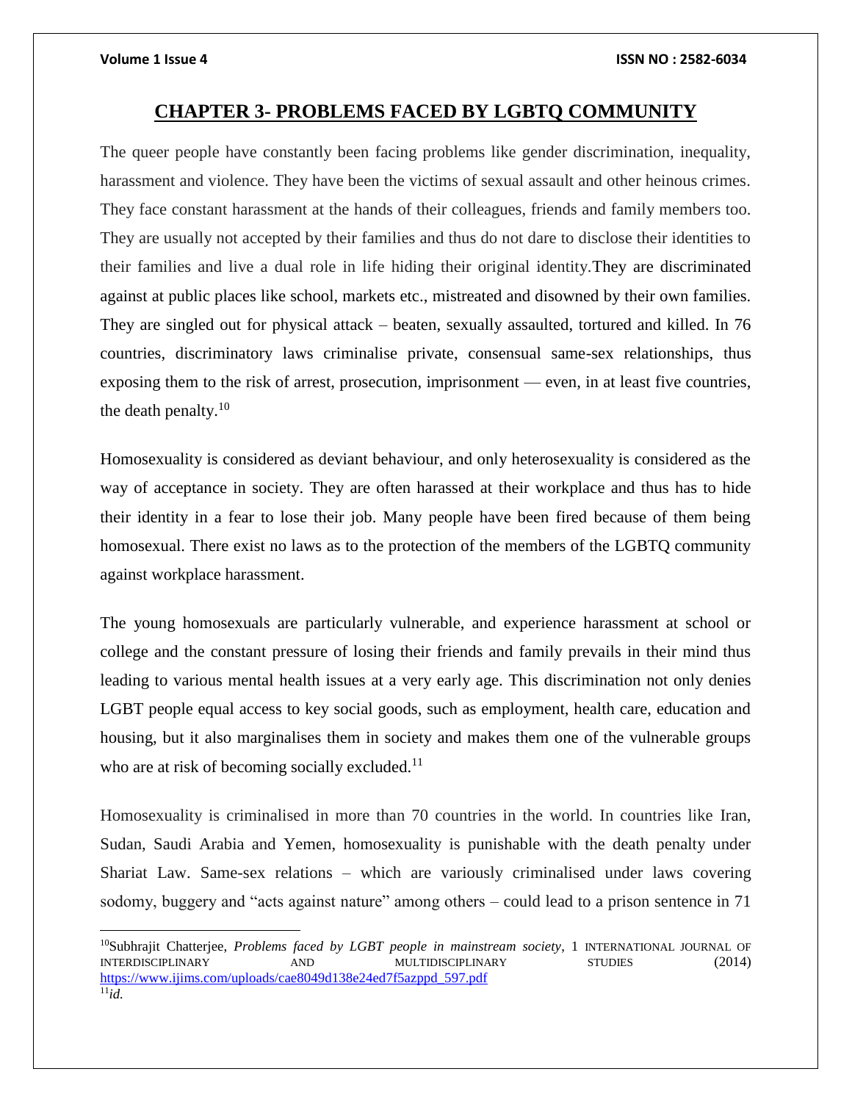### **CHAPTER 3- PROBLEMS FACED BY LGBTQ COMMUNITY**

<span id="page-7-0"></span>The queer people have constantly been facing problems like gender discrimination, inequality, harassment and violence. They have been the victims of sexual assault and other heinous crimes. They face constant harassment at the hands of their colleagues, friends and family members too. They are usually not accepted by their families and thus do not dare to disclose their identities to their families and live a dual role in life hiding their original identity.They are discriminated against at public places like school, markets etc., mistreated and disowned by their own families. They are singled out for physical attack – beaten, sexually assaulted, tortured and killed. In 76 countries, discriminatory laws criminalise private, consensual same-sex relationships, thus exposing them to the risk of arrest, prosecution, imprisonment — even, in at least five countries, the death penalty. $10$ 

Homosexuality is considered as deviant behaviour, and only heterosexuality is considered as the way of acceptance in society. They are often harassed at their workplace and thus has to hide their identity in a fear to lose their job. Many people have been fired because of them being homosexual. There exist no laws as to the protection of the members of the LGBTQ community against workplace harassment.

The young homosexuals are particularly vulnerable, and experience harassment at school or college and the constant pressure of losing their friends and family prevails in their mind thus leading to various mental health issues at a very early age. This discrimination not only denies LGBT people equal access to key social goods, such as employment, health care, education and housing, but it also marginalises them in society and makes them one of the vulnerable groups who are at risk of becoming socially excluded. $11$ 

Homosexuality is criminalised in more than 70 countries in the world. In countries like Iran, Sudan, Saudi Arabia and Yemen, homosexuality is punishable with the death penalty under Shariat Law. Same-sex relations – which are variously criminalised under laws covering sodomy, buggery and "acts against nature" among others – could lead to a prison sentence in 71

 $\overline{a}$ 

<sup>&</sup>lt;sup>10</sup>Subhrajit Chatterjee, *Problems faced by LGBT people in mainstream society*, 1 INTERNATIONAL JOURNAL OF INTERDISCIPLINARY AND MULTIDISCIPLINARY STUDIES (2014) [https://www.ijims.com/uploads/cae8049d138e24ed7f5azppd\\_597.pdf](https://www.ijims.com/uploads/cae8049d138e24ed7f5azppd_597.pdf)  $^{11}i\overline{d}$ .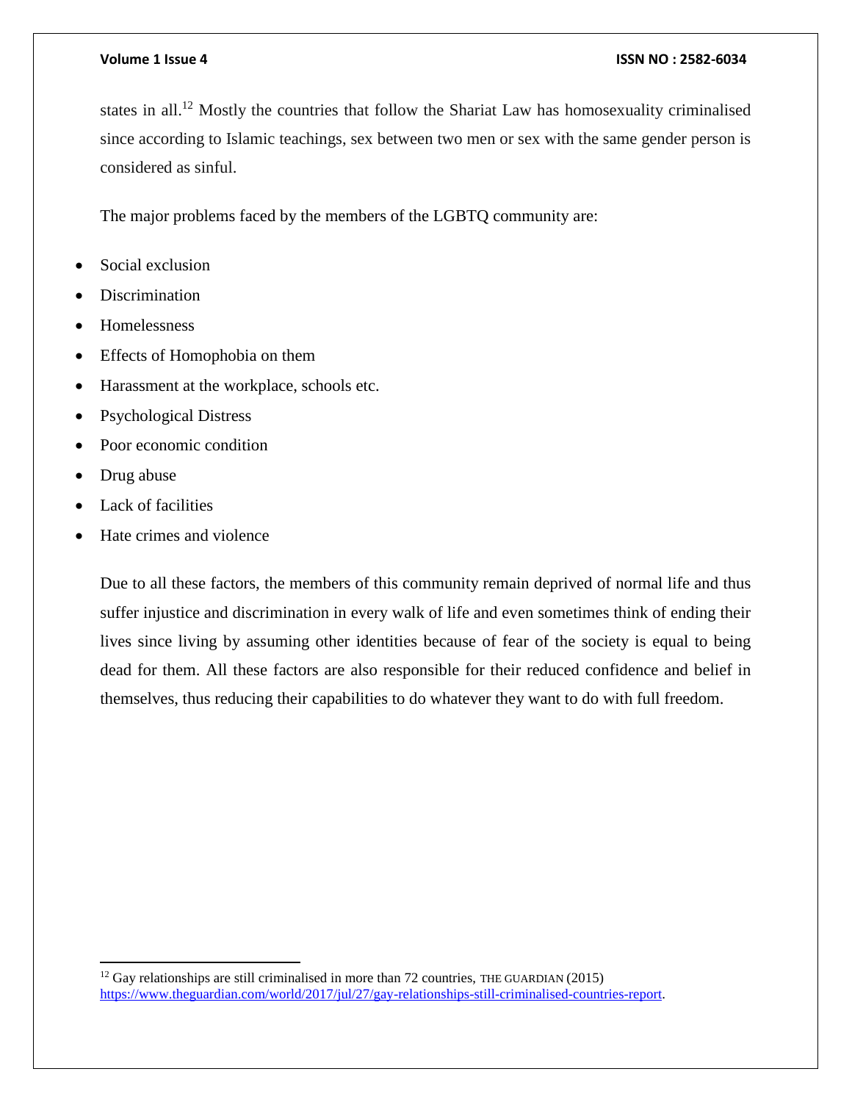states in all.<sup>12</sup> Mostly the countries that follow the Shariat Law has homosexuality criminalised since according to Islamic teachings, sex between two men or sex with the same gender person is considered as sinful.

The major problems faced by the members of the LGBTQ community are:

- Social exclusion
- **Discrimination**
- Homelessness
- Effects of Homophobia on them
- Harassment at the workplace, schools etc.
- Psychological Distress
- Poor economic condition
- Drug abuse

 $\overline{a}$ 

- Lack of facilities
- Hate crimes and violence

Due to all these factors, the members of this community remain deprived of normal life and thus suffer injustice and discrimination in every walk of life and even sometimes think of ending their lives since living by assuming other identities because of fear of the society is equal to being dead for them. All these factors are also responsible for their reduced confidence and belief in themselves, thus reducing their capabilities to do whatever they want to do with full freedom.

<sup>&</sup>lt;sup>12</sup> Gay relationships are still criminalised in more than 72 countries, THE GUARDIAN (2015) [https://www.theguardian.com/world/2017/jul/27/gay-relationships-still-criminalised-countries-report.](https://www.theguardian.com/world/2017/jul/27/gay-relationships-still-criminalised-countries-report)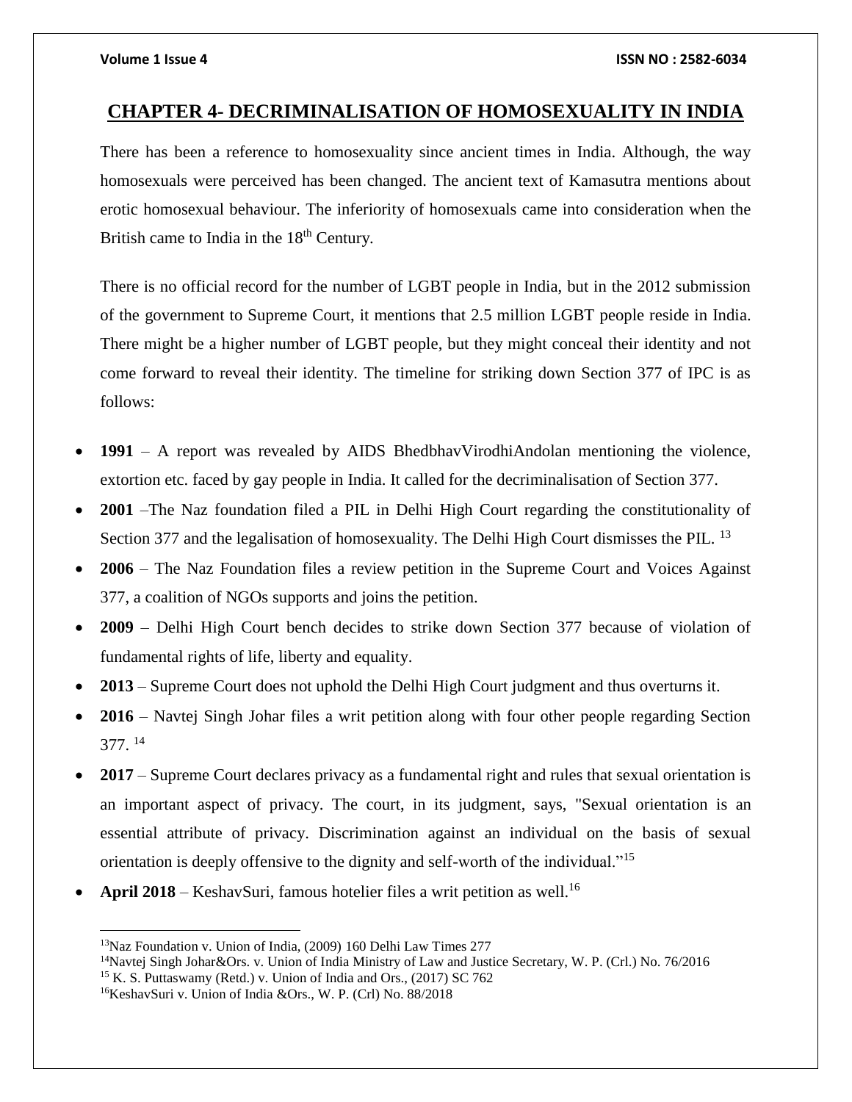## <span id="page-9-0"></span>**CHAPTER 4- DECRIMINALISATION OF HOMOSEXUALITY IN INDIA**

There has been a reference to homosexuality since ancient times in India. Although, the way homosexuals were perceived has been changed. The ancient text of Kamasutra mentions about erotic homosexual behaviour. The inferiority of homosexuals came into consideration when the British came to India in the 18<sup>th</sup> Century.

There is no official record for the number of LGBT people in India, but in the 2012 submission of the government to Supreme Court, it mentions that 2.5 million LGBT people reside in India. There might be a higher number of LGBT people, but they might conceal their identity and not come forward to reveal their identity. The timeline for striking down Section 377 of IPC is as follows:

- **1991**  A report was revealed by AIDS BhedbhavVirodhiAndolan mentioning the violence, extortion etc. faced by gay people in India. It called for the decriminalisation of Section 377.
- **2001** –The Naz foundation filed a PIL in Delhi High Court regarding the constitutionality of Section 377 and the legalisation of homosexuality. The Delhi High Court dismisses the PIL.<sup>13</sup>
- **2006**  The Naz Foundation files a review petition in the Supreme Court and Voices Against 377, a coalition of NGOs supports and joins the petition.
- **2009** Delhi High Court bench decides to strike down Section 377 because of violation of fundamental rights of life, liberty and equality.
- **2013**  Supreme Court does not uphold the Delhi High Court judgment and thus overturns it.
- **2016**  Navtej Singh Johar files a writ petition along with four other people regarding Section 377. <sup>14</sup>
- **2017**  Supreme Court declares privacy as a fundamental right and rules that sexual orientation is an important aspect of privacy. The court, in its judgment, says, "Sexual orientation is an essential attribute of privacy. Discrimination against an individual on the basis of sexual orientation is deeply offensive to the dignity and self-worth of the individual."<sup>15</sup>
- **April 2018** KeshavSuri, famous hotelier files a writ petition as well.<sup>16</sup>

 $\overline{a}$ 

<sup>13</sup>Naz Foundation v. Union of India, (2009) 160 Delhi Law Times 277

<sup>14</sup>Navtej Singh Johar&Ors. v. Union of India Ministry of Law and Justice Secretary, W. P. (Crl.) No. 76/2016

<sup>&</sup>lt;sup>15</sup> K. S. Puttaswamy (Retd.) v. Union of India and Ors., (2017) SC 762

<sup>16</sup>KeshavSuri v. Union of India &Ors., W. P. (Crl) No. 88/2018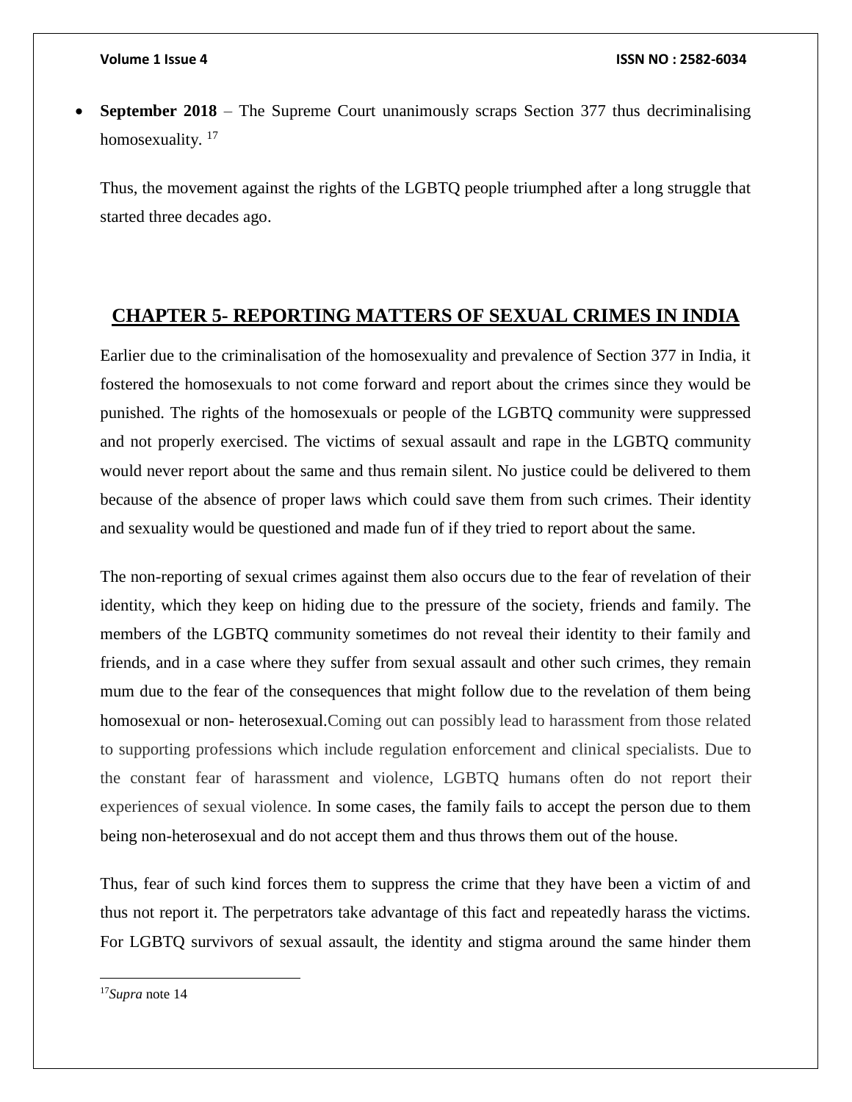**September 2018** – The Supreme Court unanimously scraps Section 377 thus decriminalising homosexuality.<sup>17</sup>

Thus, the movement against the rights of the LGBTQ people triumphed after a long struggle that started three decades ago.

## <span id="page-10-0"></span>**CHAPTER 5- REPORTING MATTERS OF SEXUAL CRIMES IN INDIA**

Earlier due to the criminalisation of the homosexuality and prevalence of Section 377 in India, it fostered the homosexuals to not come forward and report about the crimes since they would be punished. The rights of the homosexuals or people of the LGBTQ community were suppressed and not properly exercised. The victims of sexual assault and rape in the LGBTQ community would never report about the same and thus remain silent. No justice could be delivered to them because of the absence of proper laws which could save them from such crimes. Their identity and sexuality would be questioned and made fun of if they tried to report about the same.

The non-reporting of sexual crimes against them also occurs due to the fear of revelation of their identity, which they keep on hiding due to the pressure of the society, friends and family. The members of the LGBTQ community sometimes do not reveal their identity to their family and friends, and in a case where they suffer from sexual assault and other such crimes, they remain mum due to the fear of the consequences that might follow due to the revelation of them being homosexual or non- heterosexual.Coming out can possibly lead to harassment from those related to supporting professions which include regulation enforcement and clinical specialists. Due to the constant fear of harassment and violence, LGBTQ humans often do not report their experiences of sexual violence. In some cases, the family fails to accept the person due to them being non-heterosexual and do not accept them and thus throws them out of the house.

Thus, fear of such kind forces them to suppress the crime that they have been a victim of and thus not report it. The perpetrators take advantage of this fact and repeatedly harass the victims. For LGBTQ survivors of sexual assault, the identity and stigma around the same hinder them

 $\overline{\phantom{a}}$ 

<sup>17</sup>*Supra* note 14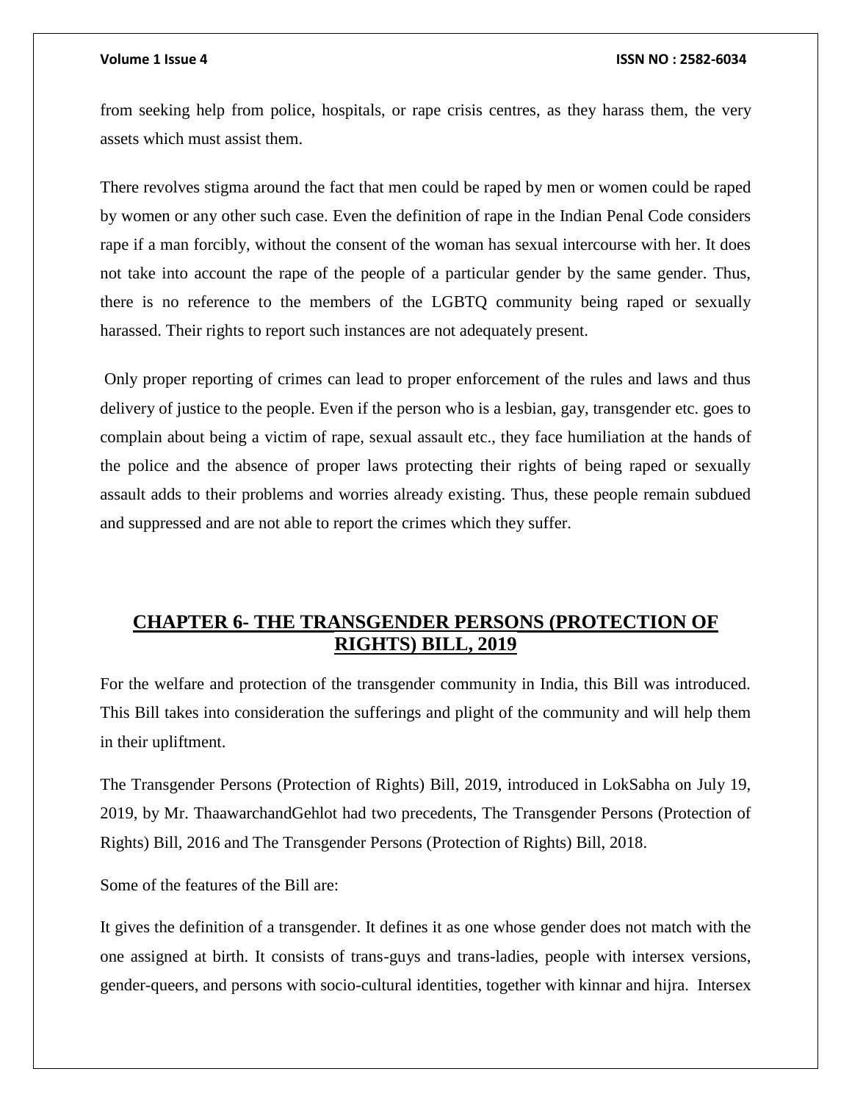from seeking help from police, hospitals, or rape crisis centres, as they harass them, the very assets which must assist them.

There revolves stigma around the fact that men could be raped by men or women could be raped by women or any other such case. Even the definition of rape in the Indian Penal Code considers rape if a man forcibly, without the consent of the woman has sexual intercourse with her. It does not take into account the rape of the people of a particular gender by the same gender. Thus, there is no reference to the members of the LGBTQ community being raped or sexually harassed. Their rights to report such instances are not adequately present.

Only proper reporting of crimes can lead to proper enforcement of the rules and laws and thus delivery of justice to the people. Even if the person who is a lesbian, gay, transgender etc. goes to complain about being a victim of rape, sexual assault etc., they face humiliation at the hands of the police and the absence of proper laws protecting their rights of being raped or sexually assault adds to their problems and worries already existing. Thus, these people remain subdued and suppressed and are not able to report the crimes which they suffer.

# <span id="page-11-0"></span>**CHAPTER 6- THE TRANSGENDER PERSONS (PROTECTION OF RIGHTS) BILL, 2019**

For the welfare and protection of the transgender community in India, this Bill was introduced. This Bill takes into consideration the sufferings and plight of the community and will help them in their upliftment.

The Transgender Persons (Protection of Rights) Bill, 2019, introduced in LokSabha on July 19, 2019, by Mr. ThaawarchandGehlot had two precedents, The Transgender Persons (Protection of Rights) Bill, 2016 and The Transgender Persons (Protection of Rights) Bill, 2018.

Some of the features of the Bill are:

It gives the definition of a transgender. It defines it as one whose gender does not match with the one assigned at birth. It consists of trans-guys and trans-ladies, people with intersex versions, gender-queers, and persons with socio-cultural identities, together with kinnar and hijra. Intersex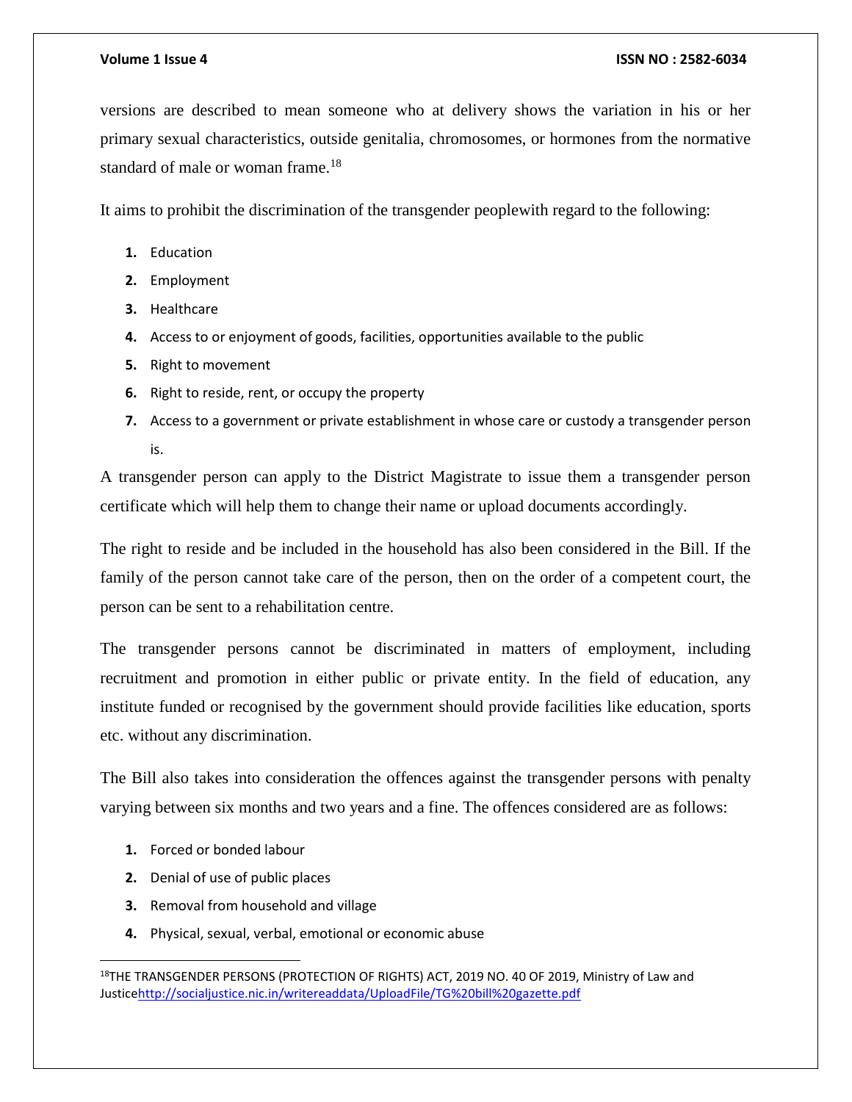versions are described to mean someone who at delivery shows the variation in his or her primary sexual characteristics, outside genitalia, chromosomes, or hormones from the normative standard of male or woman frame.<sup>18</sup>

It aims to prohibit the discrimination of the transgender peoplewith regard to the following:

- **1.** Education
- **2.** Employment
- **3.** Healthcare
- **4.** Access to or enjoyment of goods, facilities, opportunities available to the public
- **5.** Right to movement
- **6.** Right to reside, rent, or occupy the property
- **7.** Access to a government or private establishment in whose care or custody a transgender person is.

A transgender person can apply to the District Magistrate to issue them a transgender person certificate which will help them to change their name or upload documents accordingly.

The right to reside and be included in the household has also been considered in the Bill. If the family of the person cannot take care of the person, then on the order of a competent court, the person can be sent to a rehabilitation centre.

The transgender persons cannot be discriminated in matters of employment, including recruitment and promotion in either public or private entity. In the field of education, any institute funded or recognised by the government should provide facilities like education, sports etc. without any discrimination.

The Bill also takes into consideration the offences against the transgender persons with penalty varying between six months and two years and a fine. The offences considered are as follows:

**1.** Forced or bonded labour

 $\overline{\phantom{a}}$ 

- **2.** Denial of use of public places
- **3.** Removal from household and village
- **4.** Physical, sexual, verbal, emotional or economic abuse

<sup>&</sup>lt;sup>18</sup>THE TRANSGENDER PERSONS (PROTECTION OF RIGHTS) ACT, 2019 NO. 40 OF 2019, Ministry of Law and Justic[ehttp://socialjustice.nic.in/writereaddata/UploadFile/TG%20bill%20gazette.pdf](http://socialjustice.nic.in/writereaddata/UploadFile/TG%20bill%20gazette.pdf)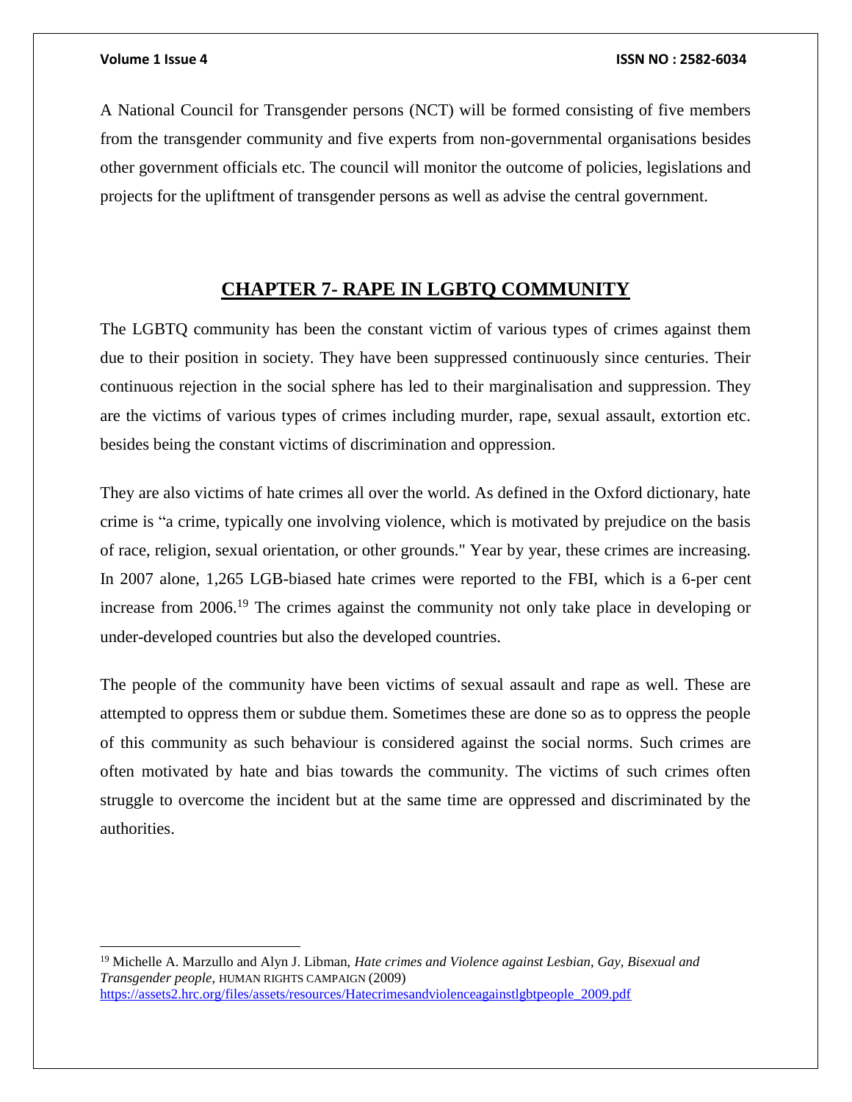$\overline{\phantom{a}}$ 

### **Volume 1 Issue 4 ISSN NO : 2582-6034**

A National Council for Transgender persons (NCT) will be formed consisting of five members from the transgender community and five experts from non-governmental organisations besides other government officials etc. The council will monitor the outcome of policies, legislations and projects for the upliftment of transgender persons as well as advise the central government.

# **CHAPTER 7- RAPE IN LGBTQ COMMUNITY**

<span id="page-13-0"></span>The LGBTQ community has been the constant victim of various types of crimes against them due to their position in society. They have been suppressed continuously since centuries. Their continuous rejection in the social sphere has led to their marginalisation and suppression. They are the victims of various types of crimes including murder, rape, sexual assault, extortion etc. besides being the constant victims of discrimination and oppression.

They are also victims of hate crimes all over the world. As defined in the Oxford dictionary, hate crime is "a crime, typically one involving violence, which is motivated by prejudice on the basis of race, religion, sexual orientation, or other grounds." Year by year, these crimes are increasing. In 2007 alone, 1,265 LGB-biased hate crimes were reported to the FBI, which is a 6-per cent increase from 2006.<sup>19</sup> The crimes against the community not only take place in developing or under-developed countries but also the developed countries.

The people of the community have been victims of sexual assault and rape as well. These are attempted to oppress them or subdue them. Sometimes these are done so as to oppress the people of this community as such behaviour is considered against the social norms. Such crimes are often motivated by hate and bias towards the community. The victims of such crimes often struggle to overcome the incident but at the same time are oppressed and discriminated by the authorities.

<sup>19</sup> Michelle A. Marzullo and Alyn J. Libman, *Hate crimes and Violence against Lesbian, Gay, Bisexual and Transgender people,* HUMAN RIGHTS CAMPAIGN (2009) [https://assets2.hrc.org/files/assets/resources/Hatecrimesandviolenceagainstlgbtpeople\\_2009.pdf](https://assets2.hrc.org/files/assets/resources/Hatecrimesandviolenceagainstlgbtpeople_2009.pdf)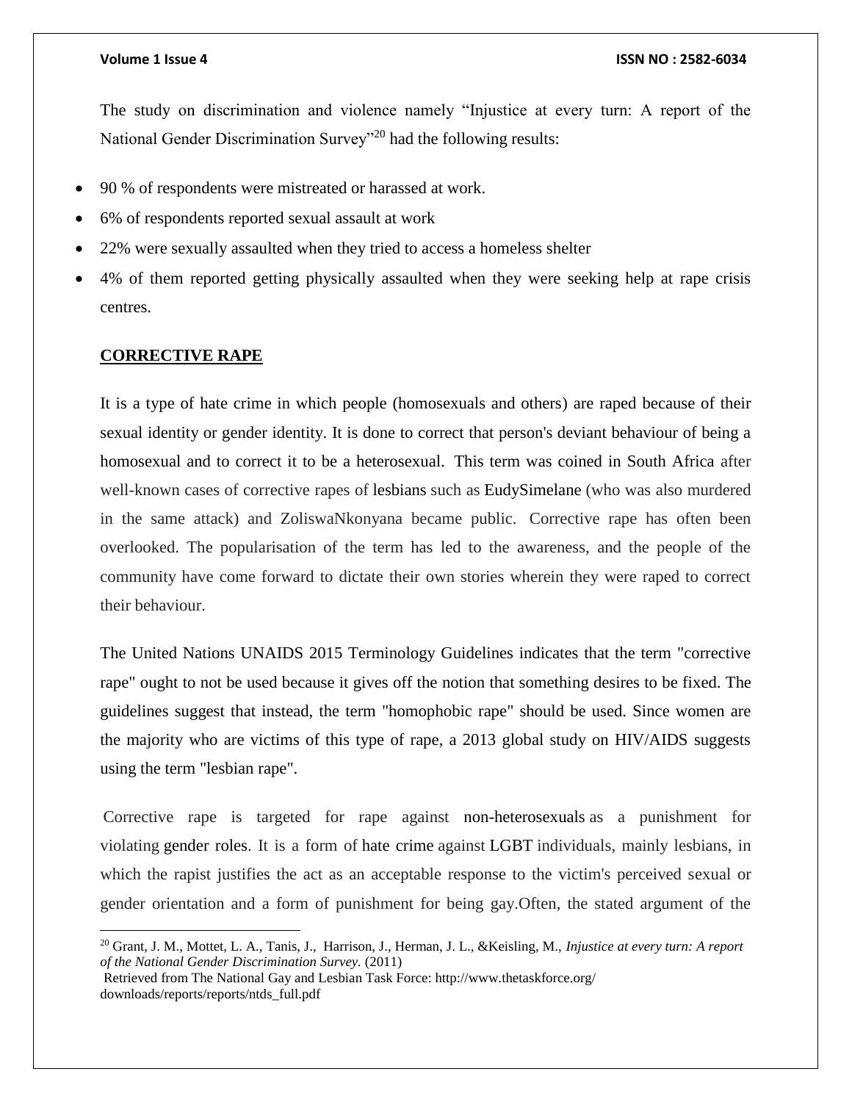The study on discrimination and violence namely "Injustice at every turn: A report of the National Gender Discrimination Survey<sup>"20</sup> had the following results:

- 90 % of respondents were mistreated or harassed at work.
- 6% of respondents reported sexual assault at work
- 22% were sexually assaulted when they tried to access a homeless shelter
- 4% of them reported getting physically assaulted when they were seeking help at rape crisis centres.

### **CORRECTIVE RAPE**

 $\overline{a}$ 

It is a type of hate crime in which people (homosexuals and others) are raped because of their sexual identity or gender identity. It is done to correct that person's deviant behaviour of being a homosexual and to correct it to be a heterosexual. This term was coined in South Africa after well-known cases of corrective rapes of lesbians such as EudySimelane (who was also murdered in the same attack) and ZoliswaNkonyana became public." Corrective rape has often been overlooked. The popularisation of the term has led to the awareness, and the people of the community have come forward to dictate their own stories wherein they were raped to correct their behaviour.

The United Nations UNAIDS 2015 Terminology Guidelines indicates that the term "corrective rape" ought to not be used because it gives off the notion that something desires to be fixed. The guidelines suggest that instead, the term "homophobic rape" should be used. Since women are the majority who are victims of this type of rape, a 2013 global study on HIV/AIDS suggests using the term "lesbian rape".

"Corrective rape is targeted for rape against non-heterosexuals as a punishment for violating gender roles. It is a form of hate crime against LGBT individuals, mainly lesbians, in which the rapist justifies the act as an acceptable response to the victim's perceived sexual or gender orientation and a form of punishment for being gay.Often, the stated argument of the

<sup>20</sup> Grant, J. M., Mottet, L. A., Tanis, J., Harrison, J., Herman, J. L., &Keisling, M., *Injustice at every turn: A report of the National Gender Discrimination Survey.* (2011)

Retrieved from The National Gay and Lesbian Task Force: http://www.thetaskforce.org/ downloads/reports/reports/ntds\_full.pdf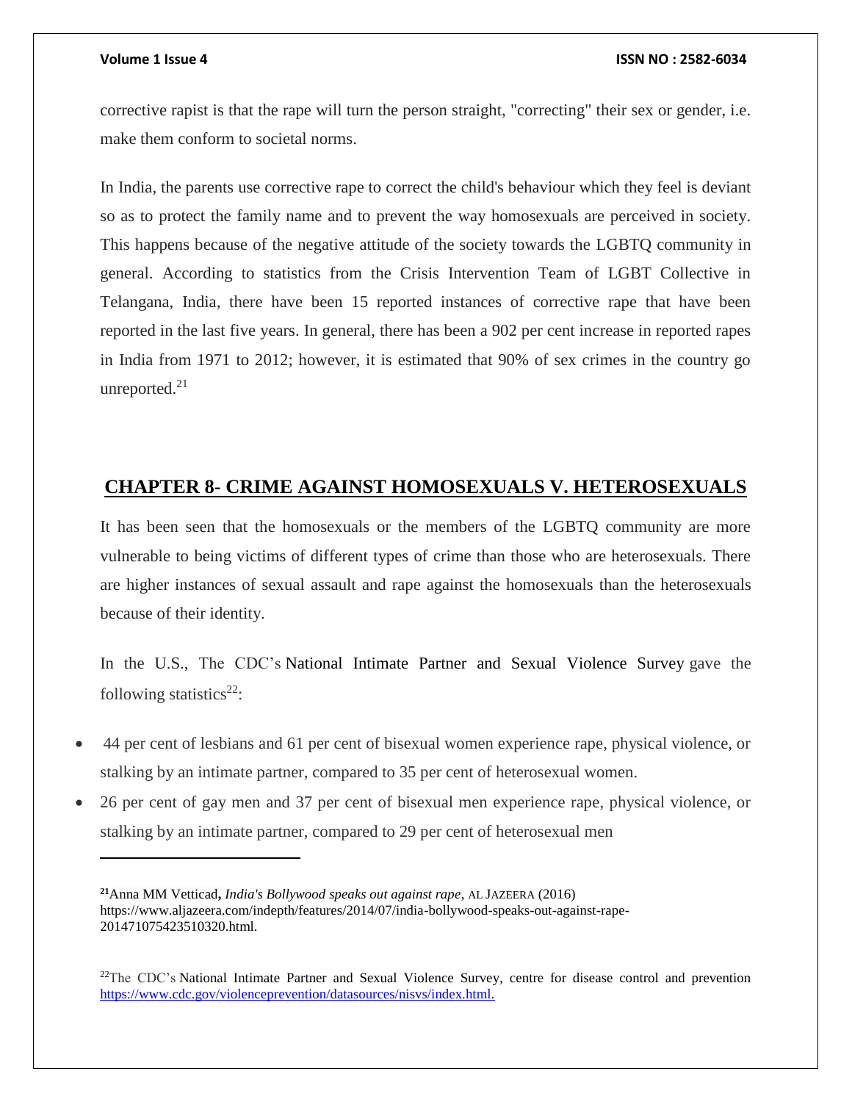$\overline{a}$ 

### **Volume 1 Issue 4 ISSN NO : 2582-6034**

corrective rapist is that the rape will turn the person straight, "correcting" their sex or gender, i.e. make them conform to societal norms.

In India, the parents use corrective rape to correct the child's behaviour which they feel is deviant so as to protect the family name and to prevent the way homosexuals are perceived in society. This happens because of the negative attitude of the society towards the LGBTQ community in general. According to statistics from the Crisis Intervention Team of LGBT Collective in Telangana, India, there have been 15 reported instances of corrective rape that have been reported in the last five years. In general, there has been a 902 per cent increase in reported rapes in India from 1971 to 2012; however, it is estimated that 90% of sex crimes in the country go unreported. $21$ 

## <span id="page-15-0"></span>**CHAPTER 8- CRIME AGAINST HOMOSEXUALS V. HETEROSEXUALS**

It has been seen that the homosexuals or the members of the LGBTQ community are more vulnerable to being victims of different types of crime than those who are heterosexuals. There are higher instances of sexual assault and rape against the homosexuals than the heterosexuals because of their identity.

In the U.S., The CDC's National Intimate Partner and Sexual Violence Survey gave the following statistics $22$ :

- "44 per cent of lesbians and 61 per cent of bisexual women experience rape, physical violence, or stalking by an intimate partner, compared to 35 per cent of heterosexual women.
- 26 per cent of gay men and 37 per cent of bisexual men experience rape, physical violence, or stalking by an intimate partner, compared to 29 per cent of heterosexual men

**<sup>21</sup>**Anna MM Vetticad**,** *India's Bollywood speaks out against rape*, AL JAZEERA (2016) https://www.aljazeera.com/indepth/features/2014/07/india-bollywood-speaks-out-against-rape-201471075423510320.html.

<sup>&</sup>lt;sup>22</sup>The CDC's National Intimate Partner and Sexual Violence Survey, centre for disease control and prevention [https://www.cdc.gov/violenceprevention/datasources/nisvs/index.html.](https://www.cdc.gov/violenceprevention/datasources/nisvs/index.html)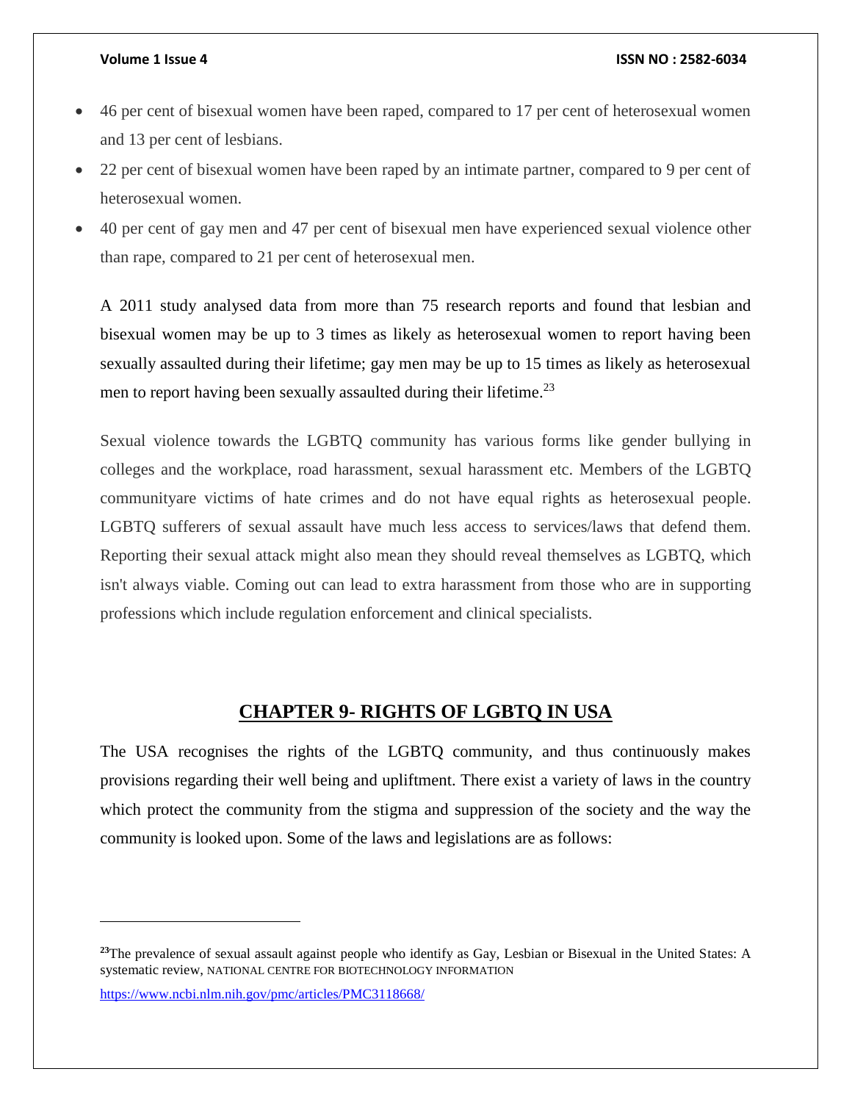- 46 per cent of bisexual women have been raped, compared to 17 per cent of heterosexual women and 13 per cent of lesbians.
- 22 per cent of bisexual women have been raped by an intimate partner, compared to 9 per cent of heterosexual women.
- 40 per cent of gay men and 47 per cent of bisexual men have experienced sexual violence other than rape, compared to 21 per cent of heterosexual men.

A 2011 study analysed data from more than 75 research reports and found that lesbian and bisexual women may be up to 3 times as likely as heterosexual women to report having been sexually assaulted during their lifetime; gay men may be up to 15 times as likely as heterosexual men to report having been sexually assaulted during their lifetime.<sup>23</sup>

Sexual violence towards the LGBTQ community has various forms like gender bullying in colleges and the workplace, road harassment, sexual harassment etc. Members of the LGBTQ communityare victims of hate crimes and do not have equal rights as heterosexual people. LGBTQ sufferers of sexual assault have much less access to services/laws that defend them. Reporting their sexual attack might also mean they should reveal themselves as LGBTQ, which isn't always viable. Coming out can lead to extra harassment from those who are in supporting professions which include regulation enforcement and clinical specialists.

## **CHAPTER 9- RIGHTS OF LGBTQ IN USA**

<span id="page-16-0"></span>The USA recognises the rights of the LGBTQ community, and thus continuously makes provisions regarding their well being and upliftment. There exist a variety of laws in the country which protect the community from the stigma and suppression of the society and the way the community is looked upon. Some of the laws and legislations are as follows:

<https://www.ncbi.nlm.nih.gov/pmc/articles/PMC3118668/>

 $\overline{\phantom{a}}$ 

**<sup>23</sup>**The prevalence of sexual assault against people who identify as Gay, Lesbian or Bisexual in the United States: A systematic review, NATIONAL CENTRE FOR BIOTECHNOLOGY INFORMATION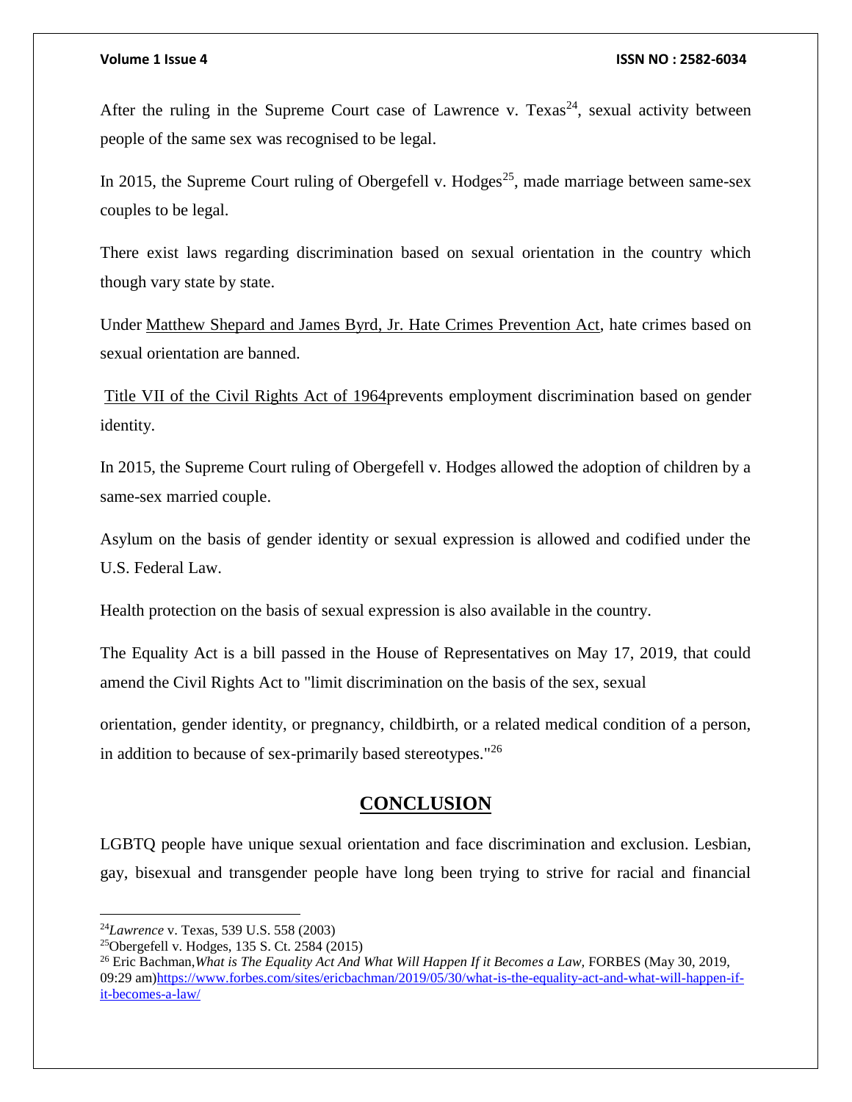After the ruling in the Supreme Court case of Lawrence v. Texas<sup>24</sup>, sexual activity between people of the same sex was recognised to be legal.

In 2015, the Supreme Court ruling of Obergefell v. Hodges<sup>25</sup>, made marriage between same-sex couples to be legal.

There exist laws regarding discrimination based on sexual orientation in the country which though vary state by state.

Under [Matthew Shepard and James Byrd, Jr. Hate Crimes Prevention Act,](https://en.wikipedia.org/wiki/Matthew_Shepard_and_James_Byrd,_Jr._Hate_Crimes_Prevention_Act) hate crimes based on sexual orientation are banned.

[Title VII of the Civil Rights Act of 1964p](https://en.wikipedia.org/wiki/Title_VII_of_the_Civil_Rights_Act_of_1964)revents employment discrimination based on gender identity.

In 2015, the Supreme Court ruling of Obergefell v. Hodges allowed the adoption of children by a same-sex married couple.

Asylum on the basis of gender identity or sexual expression is allowed and codified under the U.S. Federal Law.

Health protection on the basis of sexual expression is also available in the country.

The Equality Act is a bill passed in the House of Representatives on May 17, 2019, that could amend the Civil Rights Act to "limit discrimination on the basis of the sex, sexual

orientation, gender identity, or pregnancy, childbirth, or a related medical condition of a person, in addition to because of sex-primarily based stereotypes."<sup>26</sup>

# **CONCLUSION**

<span id="page-17-0"></span>LGBTQ people have unique sexual orientation and face discrimination and exclusion. Lesbian, gay, bisexual and transgender people have long been trying to strive for racial and financial

l

<sup>24</sup>*Lawrence* v. Texas, 539 U.S. 558 (2003)

<sup>25</sup>Obergefell v. Hodges, 135 S. Ct. 2584 (2015)

<sup>&</sup>lt;sup>26</sup> Eric Bachman, *What is The Equality Act And What Will Happen If it Becomes a Law, FORBES (May 30, 2019,* 09:29 am[\)https://www.forbes.com/sites/ericbachman/2019/05/30/what-is-the-equality-act-and-what-will-happen-if](https://www.forbes.com/sites/ericbachman/2019/05/30/what-is-the-equality-act-and-what-will-happen-if-it-becomes-a-law/)[it-becomes-a-law/](https://www.forbes.com/sites/ericbachman/2019/05/30/what-is-the-equality-act-and-what-will-happen-if-it-becomes-a-law/)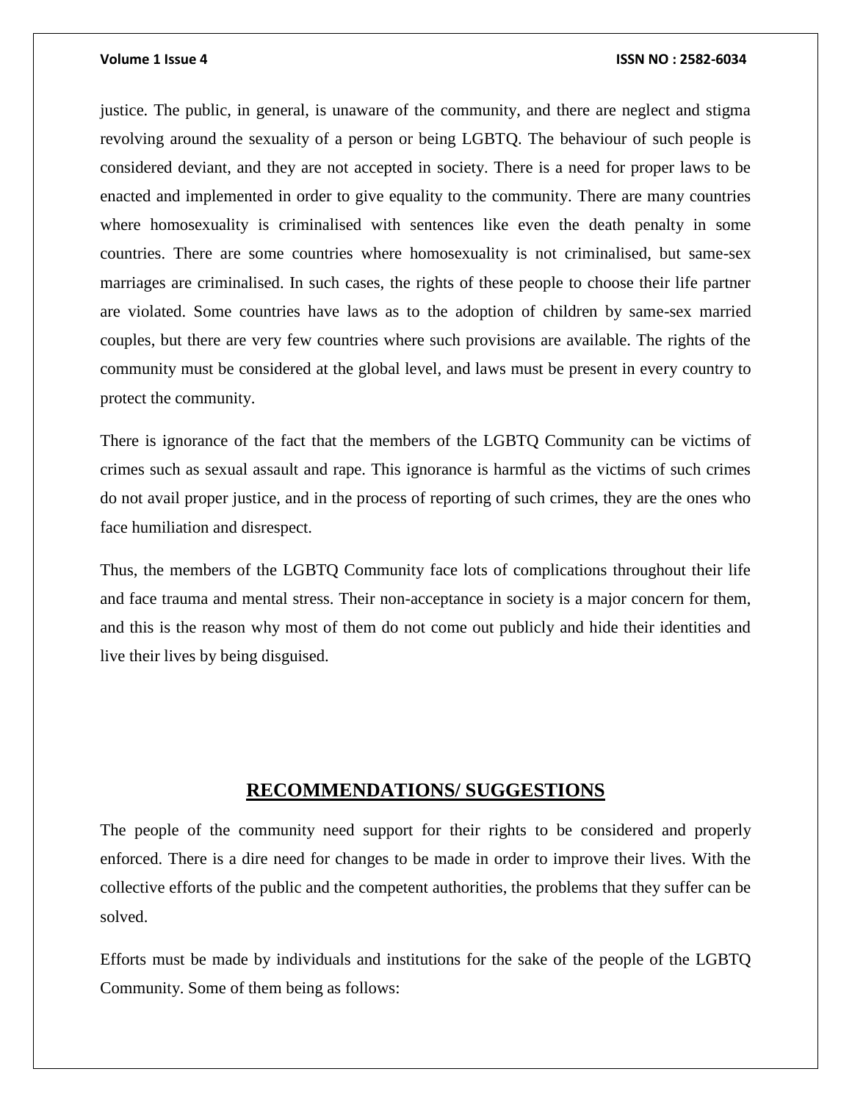justice. The public, in general, is unaware of the community, and there are neglect and stigma revolving around the sexuality of a person or being LGBTQ. The behaviour of such people is considered deviant, and they are not accepted in society. There is a need for proper laws to be enacted and implemented in order to give equality to the community. There are many countries where homosexuality is criminalised with sentences like even the death penalty in some countries. There are some countries where homosexuality is not criminalised, but same-sex marriages are criminalised. In such cases, the rights of these people to choose their life partner are violated. Some countries have laws as to the adoption of children by same-sex married couples, but there are very few countries where such provisions are available. The rights of the community must be considered at the global level, and laws must be present in every country to protect the community.

There is ignorance of the fact that the members of the LGBTQ Community can be victims of crimes such as sexual assault and rape. This ignorance is harmful as the victims of such crimes do not avail proper justice, and in the process of reporting of such crimes, they are the ones who face humiliation and disrespect.

Thus, the members of the LGBTQ Community face lots of complications throughout their life and face trauma and mental stress. Their non-acceptance in society is a major concern for them, and this is the reason why most of them do not come out publicly and hide their identities and live their lives by being disguised.

### **RECOMMENDATIONS/ SUGGESTIONS**

<span id="page-18-0"></span>The people of the community need support for their rights to be considered and properly enforced. There is a dire need for changes to be made in order to improve their lives. With the collective efforts of the public and the competent authorities, the problems that they suffer can be solved.

Efforts must be made by individuals and institutions for the sake of the people of the LGBTQ Community. Some of them being as follows: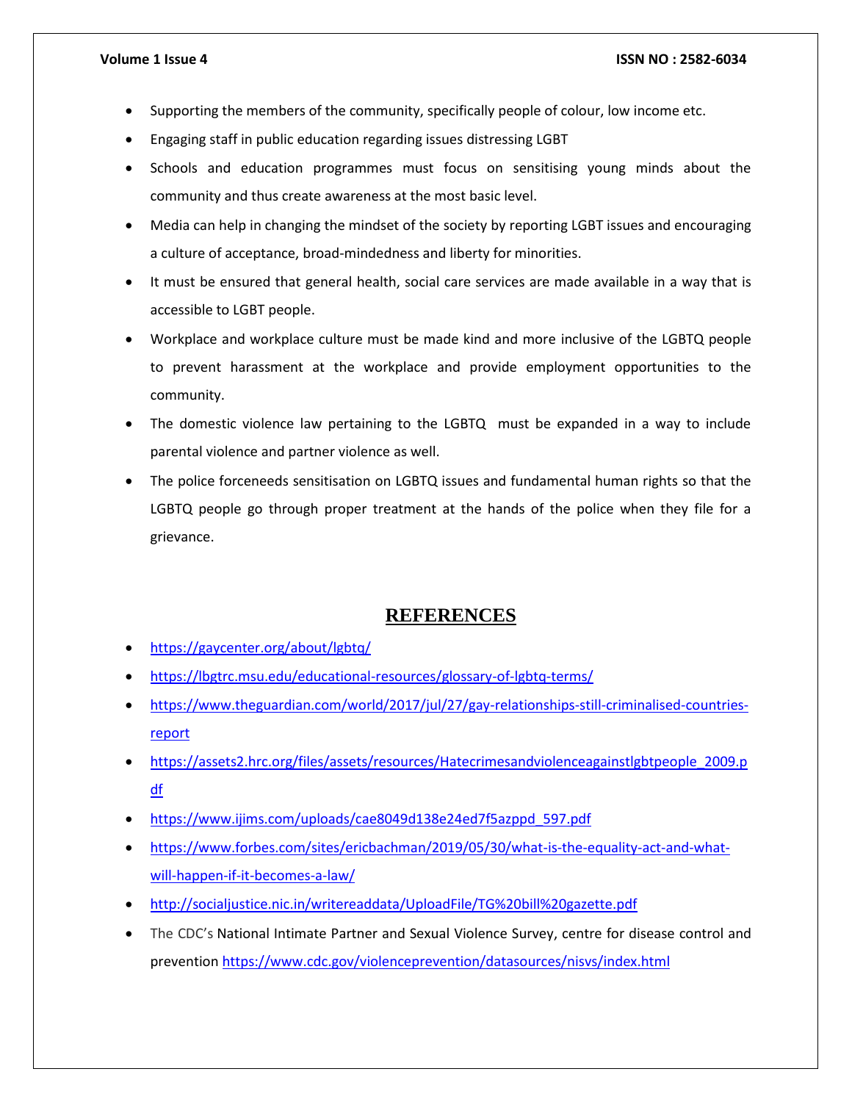- Supporting the members of the community, specifically people of colour, low income etc.
- Engaging staff in public education regarding issues distressing LGBT
- Schools and education programmes must focus on sensitising young minds about the community and thus create awareness at the most basic level.
- Media can help in changing the mindset of the society by reporting LGBT issues and encouraging a culture of acceptance, broad-mindedness and liberty for minorities.
- It must be ensured that general health, social care services are made available in a way that is accessible to LGBT people.
- Workplace and workplace culture must be made kind and more inclusive of the LGBTQ people to prevent harassment at the workplace and provide employment opportunities to the community.
- The domestic violence law pertaining to the LGBTQ must be expanded in a way to include parental violence and partner violence as well.
- The police forceneeds sensitisation on LGBTQ issues and fundamental human rights so that the LGBTQ people go through proper treatment at the hands of the police when they file for a grievance.

## **REFERENCES**

- <span id="page-19-0"></span><https://gaycenter.org/about/lgbtq/>
- <https://lbgtrc.msu.edu/educational-resources/glossary-of-lgbtq-terms/>
- [https://www.theguardian.com/world/2017/jul/27/gay-relationships-still-criminalised-countries](https://www.theguardian.com/world/2017/jul/27/gay-relationships-still-criminalised-countries-report)[report](https://www.theguardian.com/world/2017/jul/27/gay-relationships-still-criminalised-countries-report)
- [https://assets2.hrc.org/files/assets/resources/Hatecrimesandviolenceagainstlgbtpeople\\_2009.p](https://assets2.hrc.org/files/assets/resources/Hatecrimesandviolenceagainstlgbtpeople_2009.pdf) [df](https://assets2.hrc.org/files/assets/resources/Hatecrimesandviolenceagainstlgbtpeople_2009.pdf)
- [https://www.ijims.com/uploads/cae8049d138e24ed7f5azppd\\_597.pdf](https://www.ijims.com/uploads/cae8049d138e24ed7f5azppd_597.pdf)
- [https://www.forbes.com/sites/ericbachman/2019/05/30/what-is-the-equality-act-and-what](https://www.forbes.com/sites/ericbachman/2019/05/30/what-is-the-equality-act-and-what-will-happen-if-it-becomes-a-law/)[will-happen-if-it-becomes-a-law/](https://www.forbes.com/sites/ericbachman/2019/05/30/what-is-the-equality-act-and-what-will-happen-if-it-becomes-a-law/)
- <http://socialjustice.nic.in/writereaddata/UploadFile/TG%20bill%20gazette.pdf>
- The CDC's National Intimate Partner and Sexual Violence Survey, centre for disease control and preventio[n https://www.cdc.gov/violenceprevention/datasources/nisvs/index.html](https://www.cdc.gov/violenceprevention/datasources/nisvs/index.html)